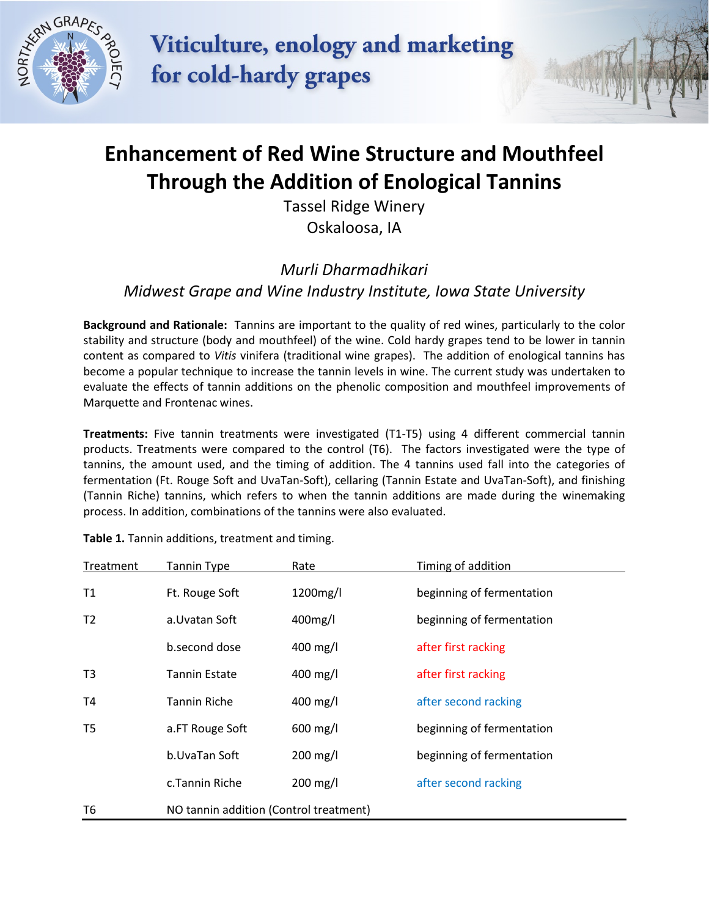

Viticulture, enology and marketing for cold-hardy grapes

# **Enhancement of Red Wine Structure and Mouthfeel Through the Addition of Enological Tannins**

Tassel Ridge Winery Oskaloosa, IA

## *Murli Dharmadhikari Midwest Grape and Wine Industry Institute, Iowa State University*

**Background and Rationale:** Tannins are important to the quality of red wines, particularly to the color stability and structure (body and mouthfeel) of the wine. Cold hardy grapes tend to be lower in tannin content as compared to *Vitis* vinifera (traditional wine grapes). The addition of enological tannins has become a popular technique to increase the tannin levels in wine. The current study was undertaken to evaluate the effects of tannin additions on the phenolic composition and mouthfeel improvements of Marquette and Frontenac wines.

**Treatments:** Five tannin treatments were investigated (T1-T5) using 4 different commercial tannin products. Treatments were compared to the control (T6). The factors investigated were the type of tannins, the amount used, and the timing of addition. The 4 tannins used fall into the categories of fermentation (Ft. Rouge Soft and UvaTan-Soft), cellaring (Tannin Estate and UvaTan-Soft), and finishing (Tannin Riche) tannins, which refers to when the tannin additions are made during the winemaking process. In addition, combinations of the tannins were also evaluated.

| Treatment      | Tannin Type                            | Rate     | Timing of addition        |  |  |
|----------------|----------------------------------------|----------|---------------------------|--|--|
| T1             | Ft. Rouge Soft                         | 1200mg/l | beginning of fermentation |  |  |
| T <sub>2</sub> | a.Uvatan Soft                          | 400mg/l  | beginning of fermentation |  |  |
|                | b.second dose                          | 400 mg/l | after first racking       |  |  |
| T3             | <b>Tannin Estate</b>                   | 400 mg/l | after first racking       |  |  |
| Τ4             | <b>Tannin Riche</b>                    | 400 mg/l | after second racking      |  |  |
| T <sub>5</sub> | a.FT Rouge Soft                        | 600 mg/l | beginning of fermentation |  |  |
|                | b.UvaTan Soft                          | 200 mg/l | beginning of fermentation |  |  |
|                | c.Tannin Riche                         | 200 mg/l | after second racking      |  |  |
| Т6             | NO tannin addition (Control treatment) |          |                           |  |  |

**Table 1.** Tannin additions, treatment and timing.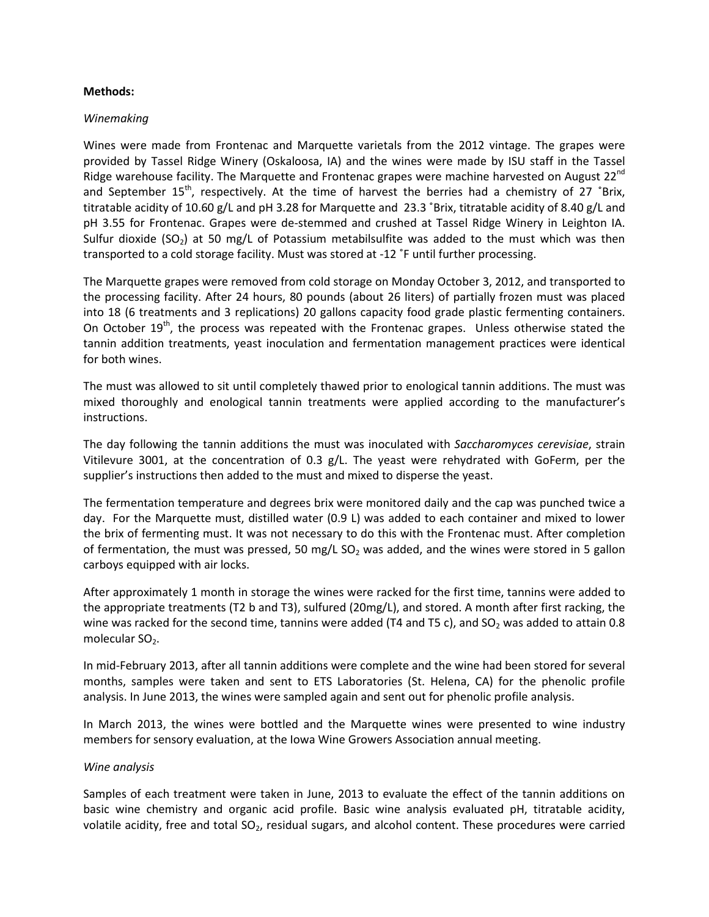#### **Methods:**

#### *Winemaking*

Wines were made from Frontenac and Marquette varietals from the 2012 vintage. The grapes were provided by Tassel Ridge Winery (Oskaloosa, IA) and the wines were made by ISU staff in the Tassel Ridge warehouse facility. The Marquette and Frontenac grapes were machine harvested on August 22<sup>nd</sup> and September  $15<sup>th</sup>$ , respectively. At the time of harvest the berries had a chemistry of 27 °Brix, titratable acidity of 10.60 g/L and pH 3.28 for Marquette and 23.3 ˚Brix, titratable acidity of 8.40 g/L and pH 3.55 for Frontenac. Grapes were de-stemmed and crushed at Tassel Ridge Winery in Leighton IA. Sulfur dioxide  $(SO_2)$  at 50 mg/L of Potassium metabilsulfite was added to the must which was then transported to a cold storage facility. Must was stored at -12 ˚F until further processing.

The Marquette grapes were removed from cold storage on Monday October 3, 2012, and transported to the processing facility. After 24 hours, 80 pounds (about 26 liters) of partially frozen must was placed into 18 (6 treatments and 3 replications) 20 gallons capacity food grade plastic fermenting containers. On October  $19<sup>th</sup>$ , the process was repeated with the Frontenac grapes. Unless otherwise stated the tannin addition treatments, yeast inoculation and fermentation management practices were identical for both wines.

The must was allowed to sit until completely thawed prior to enological tannin additions. The must was mixed thoroughly and enological tannin treatments were applied according to the manufacturer's instructions.

The day following the tannin additions the must was inoculated with *Saccharomyces cerevisiae*, strain Vitilevure 3001, at the concentration of 0.3 g/L. The yeast were rehydrated with GoFerm, per the supplier's instructions then added to the must and mixed to disperse the yeast.

The fermentation temperature and degrees brix were monitored daily and the cap was punched twice a day. For the Marquette must, distilled water (0.9 L) was added to each container and mixed to lower the brix of fermenting must. It was not necessary to do this with the Frontenac must. After completion of fermentation, the must was pressed, 50 mg/L  $SO<sub>2</sub>$  was added, and the wines were stored in 5 gallon carboys equipped with air locks.

After approximately 1 month in storage the wines were racked for the first time, tannins were added to the appropriate treatments (T2 b and T3), sulfured (20mg/L), and stored. A month after first racking, the wine was racked for the second time, tannins were added (T4 and T5 c), and SO<sub>2</sub> was added to attain 0.8 molecular  $SO<sub>2</sub>$ .

In mid-February 2013, after all tannin additions were complete and the wine had been stored for several months, samples were taken and sent to ETS Laboratories (St. Helena, CA) for the phenolic profile analysis. In June 2013, the wines were sampled again and sent out for phenolic profile analysis.

In March 2013, the wines were bottled and the Marquette wines were presented to wine industry members for sensory evaluation, at the Iowa Wine Growers Association annual meeting.

#### *Wine analysis*

Samples of each treatment were taken in June, 2013 to evaluate the effect of the tannin additions on basic wine chemistry and organic acid profile. Basic wine analysis evaluated pH, titratable acidity, volatile acidity, free and total  $SO<sub>2</sub>$ , residual sugars, and alcohol content. These procedures were carried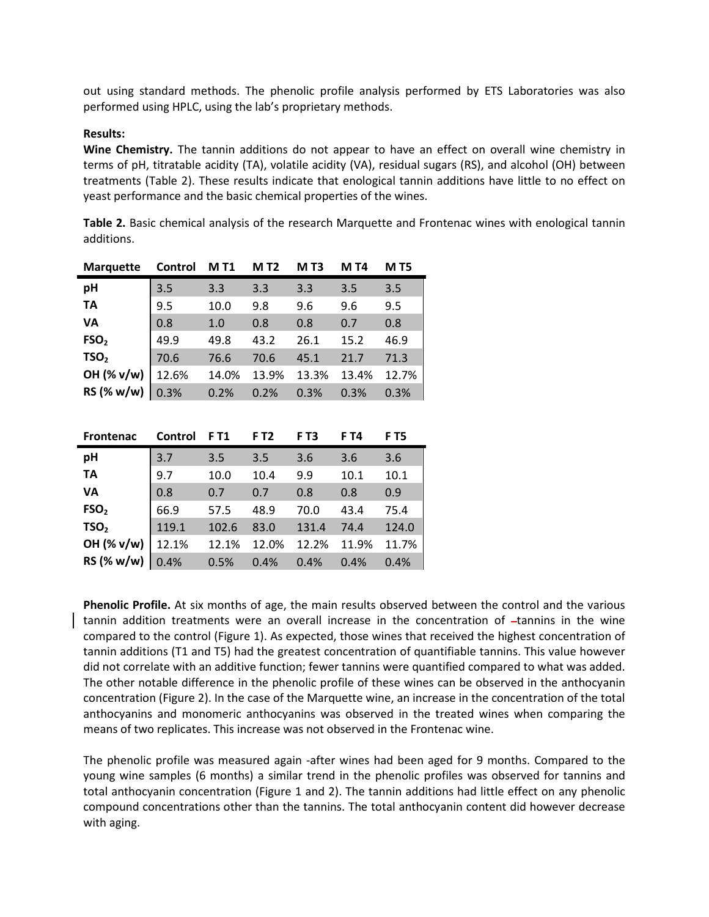out using standard methods. The phenolic profile analysis performed by ETS Laboratories was also performed using HPLC, using the lab's proprietary methods.

### **Results:**

**Wine Chemistry.** The tannin additions do not appear to have an effect on overall wine chemistry in terms of pH, titratable acidity (TA), volatile acidity (VA), residual sugars (RS), and alcohol (OH) between treatments (Table 2). These results indicate that enological tannin additions have little to no effect on yeast performance and the basic chemical properties of the wines.

**Table 2.** Basic chemical analysis of the research Marquette and Frontenac wines with enological tannin additions.

| <b>Marquette</b> | Control | <b>MT1</b> | <b>MT2</b> | M T3  | M T4  | <b>MT5</b> |
|------------------|---------|------------|------------|-------|-------|------------|
| pH               | 3.5     | 3.3        | 3.3        | 3.3   | 3.5   | 3.5        |
| <b>TA</b>        | 9.5     | 10.0       | 9.8        | 9.6   | 9.6   | 9.5        |
| VA               | 0.8     | 1.0        | 0.8        | 0.8   | 0.7   | 0.8        |
| FSO <sub>2</sub> | 49.9    | 49.8       | 43.2       | 26.1  | 15.2  | 46.9       |
| TSO <sub>2</sub> | 70.6    | 76.6       | 70.6       | 45.1  | 21.7  | 71.3       |
| OH (% v/w)       | 12.6%   | 14.0%      | 13.9%      | 13.3% | 13.4% | 12.7%      |
| RS (% w/w)       | 0.3%    | 0.2%       | 0.2%       | 0.3%  | 0.3%  | 0.3%       |

| <b>Frontenac</b> | Control | F T1  | F T2  | FT3   | F T4  | <b>FT5</b> |
|------------------|---------|-------|-------|-------|-------|------------|
| pH               | 3.7     | 3.5   | 3.5   | 3.6   | 3.6   | 3.6        |
| <b>TA</b>        | 9.7     | 10.0  | 10.4  | 9.9   | 10.1  | 10.1       |
| VA               | 0.8     | 0.7   | 0.7   | 0.8   | 0.8   | 0.9        |
| FSO <sub>2</sub> | 66.9    | 57.5  | 48.9  | 70.0  | 43.4  | 75.4       |
| TSO <sub>2</sub> | 119.1   | 102.6 | 83.0  | 131.4 | 74.4  | 124.0      |
| OH (% v/w)       | 12.1%   | 12.1% | 12.0% | 12.2% | 11.9% | 11.7%      |
| RS (% w/w)       | 0.4%    | 0.5%  | 0.4%  | 0.4%  | 0.4%  | 0.4%       |

**Phenolic Profile.** At six months of age, the main results observed between the control and the various tannin addition treatments were an overall increase in the concentration of -tannins in the wine compared to the control (Figure 1). As expected, those wines that received the highest concentration of tannin additions (T1 and T5) had the greatest concentration of quantifiable tannins. This value however did not correlate with an additive function; fewer tannins were quantified compared to what was added. The other notable difference in the phenolic profile of these wines can be observed in the anthocyanin concentration (Figure 2). In the case of the Marquette wine, an increase in the concentration of the total anthocyanins and monomeric anthocyanins was observed in the treated wines when comparing the means of two replicates. This increase was not observed in the Frontenac wine.

The phenolic profile was measured again -after wines had been aged for 9 months. Compared to the young wine samples (6 months) a similar trend in the phenolic profiles was observed for tannins and total anthocyanin concentration (Figure 1 and 2). The tannin additions had little effect on any phenolic compound concentrations other than the tannins. The total anthocyanin content did however decrease with aging.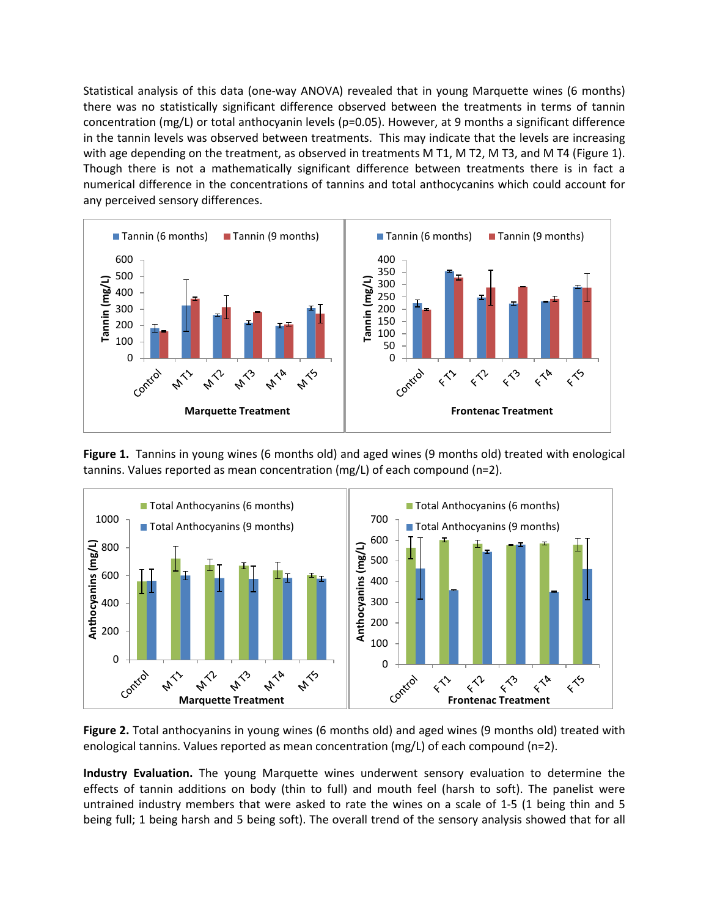Statistical analysis of this data (one-way ANOVA) revealed that in young Marquette wines (6 months) there was no statistically significant difference observed between the treatments in terms of tannin concentration (mg/L) or total anthocyanin levels (p=0.05). However, at 9 months a significant difference in the tannin levels was observed between treatments. This may indicate that the levels are increasing with age depending on the treatment, as observed in treatments M T1, M T2, M T3, and M T4 (Figure 1). Though there is not a mathematically significant difference between treatments there is in fact a numerical difference in the concentrations of tannins and total anthocycanins which could account for any perceived sensory differences.



**Figure 1.** Tannins in young wines (6 months old) and aged wines (9 months old) treated with enological tannins. Values reported as mean concentration (mg/L) of each compound (n=2).



**Figure 2.** Total anthocyanins in young wines (6 months old) and aged wines (9 months old) treated with enological tannins. Values reported as mean concentration (mg/L) of each compound (n=2).

**Industry Evaluation.** The young Marquette wines underwent sensory evaluation to determine the effects of tannin additions on body (thin to full) and mouth feel (harsh to soft). The panelist were untrained industry members that were asked to rate the wines on a scale of 1-5 (1 being thin and 5 being full; 1 being harsh and 5 being soft). The overall trend of the sensory analysis showed that for all